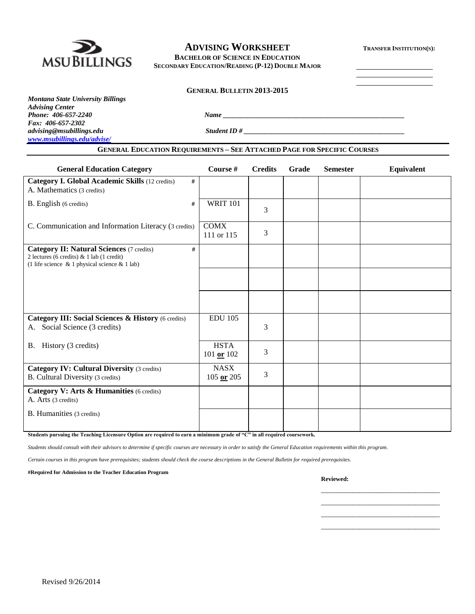

## **ADVISING WORKSHEET <sup>T</sup>RANSFER INSTITUTION(S):**

**BACHELOR OF SCIENCE IN EDUCATION SECONDARY EDUCATION/READING (P-12) DOUBLE MAJOR**

#### **GENERAL BULLETIN 2013-2015**

*Montana State University Billings Advising Center Fax: 406-657-2302 advising@msubillings.edu Student ID # \_\_\_\_\_\_\_\_\_\_\_\_\_\_\_\_\_\_\_\_\_\_\_\_\_\_\_\_\_\_\_\_\_\_\_\_\_\_\_\_\_\_\_\_\_\_ [www.msubillings.edu/advise/](http://www.msubillings.edu/advise/)*

*Phone: 406-657-2240 Name \_\_\_\_\_\_\_\_\_\_\_\_\_\_\_\_\_\_\_\_\_\_\_\_\_\_\_\_\_\_\_\_\_\_\_\_\_\_\_\_\_\_\_\_\_\_\_\_\_\_\_\_*

## **GENERAL EDUCATION REQUIREMENTS – SEE ATTACHED PAGE FOR SPECIFIC COURSES**

| <b>General Education Category</b>                                                                                                                         | Course #                      | <b>Credits</b> | Grade | <b>Semester</b> | <b>Equivalent</b> |
|-----------------------------------------------------------------------------------------------------------------------------------------------------------|-------------------------------|----------------|-------|-----------------|-------------------|
| Category I. Global Academic Skills (12 credits)<br>#<br>A. Mathematics (3 credits)                                                                        |                               |                |       |                 |                   |
| B. English (6 credits)<br>#                                                                                                                               | <b>WRIT 101</b>               | 3              |       |                 |                   |
| C. Communication and Information Literacy (3 credits)                                                                                                     | <b>COMX</b><br>111 or 115     | 3              |       |                 |                   |
| <b>Category II: Natural Sciences (7 credits)</b><br>#<br>2 lectures (6 credits) & 1 lab (1 credit)<br>(1 life science $\&$ 1 physical science $\&$ 1 lab) |                               |                |       |                 |                   |
|                                                                                                                                                           |                               |                |       |                 |                   |
|                                                                                                                                                           |                               |                |       |                 |                   |
| Category III: Social Sciences & History (6 credits)<br>Social Science (3 credits)<br>А.                                                                   | <b>EDU 105</b>                | 3              |       |                 |                   |
| B. History (3 credits)                                                                                                                                    | <b>HSTA</b><br>101 or $102$   | 3              |       |                 |                   |
| <b>Category IV: Cultural Diversity (3 credits)</b><br>B. Cultural Diversity (3 credits)                                                                   | <b>NASX</b><br>$105$ or $205$ | 3              |       |                 |                   |
| Category V: Arts & Humanities (6 credits)<br>A. Arts (3 credits)                                                                                          |                               |                |       |                 |                   |
| B. Humanities (3 credits)                                                                                                                                 |                               |                |       |                 |                   |

**Students pursuing the Teaching Licensure Option are required to earn a minimum grade of "C" in all required coursework.**

*Students should consult with their advisors to determine if specific courses are necessary in order to satisfy the General Education requirements within this program.*

*Certain courses in this program have prerequisites; students should check the course descriptions in the General Bulletin for required prerequisites.*

**#Required for Admission to the Teacher Education Program**

**Reviewed:**

\_\_\_\_\_\_\_\_\_\_\_\_\_\_\_\_\_\_\_\_\_\_\_\_\_\_\_\_\_\_\_\_\_\_ \_\_\_\_\_\_\_\_\_\_\_\_\_\_\_\_\_\_\_\_\_\_\_\_\_\_\_\_\_\_\_\_\_\_ \_\_\_\_\_\_\_\_\_\_\_\_\_\_\_\_\_\_\_\_\_\_\_\_\_\_\_\_\_\_\_\_\_\_ \_\_\_\_\_\_\_\_\_\_\_\_\_\_\_\_\_\_\_\_\_\_\_\_\_\_\_\_\_\_\_\_\_\_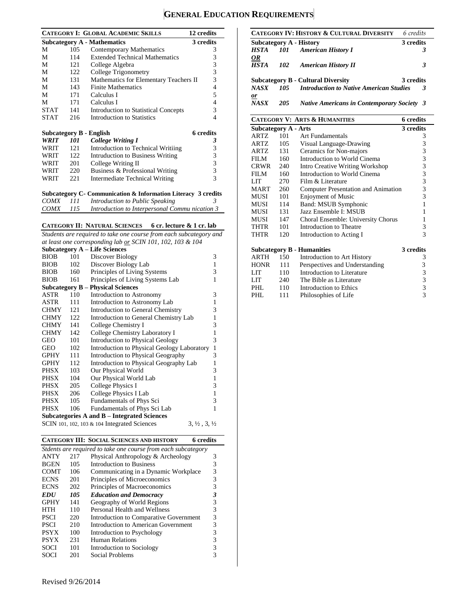# **GENERAL EDUCATION REQUIREMENTS**

|             |            | <b>CATEGORY I: GLOBAL ACADEMIC SKILLS</b>                          | 12 credits                                 |
|-------------|------------|--------------------------------------------------------------------|--------------------------------------------|
|             |            | <b>Subcategory A - Mathematics</b>                                 | 3 credits                                  |
| М           | 105        | <b>Contemporary Mathematics</b>                                    | 3                                          |
| М           | 114        | <b>Extended Technical Mathematics</b>                              | 3                                          |
| М           | 121        | College Algebra                                                    | $\frac{3}{3}$                              |
| M           | 122        | College Trigonometry                                               |                                            |
| М           | 131        | Mathematics for Elementary Teachers II                             | 3                                          |
| М           | 143        | <b>Finite Mathematics</b>                                          | $\overline{\mathcal{L}}$                   |
| М           | 171        | Calculus I                                                         | 5                                          |
| М           | 171        | Calculus I                                                         | 4                                          |
| <b>STAT</b> | 141        | <b>Introduction to Statistical Concepts</b>                        | 3                                          |
| <b>STAT</b> | 216        | <b>Introduction to Statistics</b>                                  | 4                                          |
|             |            | Subcategory B - English                                            | <b>6</b> credits                           |
| WRIT        | <i>101</i> | <b>College Writing I</b>                                           | 3                                          |
| WRIT        | 121        | Introduction to Technical Writiing                                 | 3                                          |
| WRIT        | 122        | Intruduction to Business Writing                                   |                                            |
| WRIT        | 201        | College Writing II                                                 | $\begin{array}{c} 3 \\ 3 \\ 3 \end{array}$ |
| WRIT        | 220        | Business & Professional Writing                                    |                                            |
| WRIT        | 221        | Intermediate Technical Writing                                     | 3                                          |
|             |            | Subcategory C- Communication & Information Literacy 3 credits<br>. |                                            |

| <i>COMX</i> | 111        | Introduction to Public Speaking               |  |
|-------------|------------|-----------------------------------------------|--|
| <i>COMX</i> | <i>115</i> | Introduction to Interpersonal Communication 3 |  |

#### **CATEGORY II: NATURAL SCIENCES 6 cr. lecture & 1 cr. lab**

*Students are required to take one course from each subcategory and at least one corresponding lab or SCIN 101, 102, 103 & 104*

|             |                                             | <b>Subcategory A - Life Sciences</b>                                             |              |  |  |  |  |
|-------------|---------------------------------------------|----------------------------------------------------------------------------------|--------------|--|--|--|--|
| <b>BIOB</b> | 101                                         | Discover Biology                                                                 | 3            |  |  |  |  |
| <b>BIOB</b> | 102                                         | Discover Biology Lab                                                             | $\mathbf{1}$ |  |  |  |  |
| <b>BIOB</b> | 160                                         | Principles of Living Systems                                                     | 3            |  |  |  |  |
| <b>BIOB</b> | 161                                         | Principles of Living Systems Lab                                                 | 1            |  |  |  |  |
|             |                                             | <b>Subcategory B – Physical Sciences</b>                                         |              |  |  |  |  |
| ASTR        | 110                                         | Introduction to Astronomy                                                        | 3            |  |  |  |  |
| ASTR        | 111                                         | Introduction to Astronomy Lab                                                    | 1            |  |  |  |  |
| <b>CHMY</b> | 121                                         | Introduction to General Chemistry                                                | 3            |  |  |  |  |
| <b>CHMY</b> | 122                                         | Introduction to General Chemistry Lab                                            | 1            |  |  |  |  |
| <b>CHMY</b> | 141                                         | College Chemistry I                                                              | 3            |  |  |  |  |
| <b>CHMY</b> | 142                                         | College Chemistry Laboratory I                                                   | 1            |  |  |  |  |
| <b>GEO</b>  | 101                                         | <b>Introduction to Physical Geology</b>                                          | 3            |  |  |  |  |
| GEO         | 102                                         | Introduction to Physical Geology Laboratory                                      | 1            |  |  |  |  |
| <b>GPHY</b> | 111                                         | Introduction to Physical Geography                                               | 3            |  |  |  |  |
| GPHY        | 112                                         | Introduction to Physical Geography Lab                                           | 1            |  |  |  |  |
| PHSX        | 103                                         | Our Physical World                                                               | 3            |  |  |  |  |
| PHSX        | 104                                         | Our Physical World Lab                                                           | 1            |  |  |  |  |
| PHSX        | 205                                         | College Physics I                                                                | 3            |  |  |  |  |
| PHSX        | 206                                         | College Physics I Lab                                                            | $\mathbf{1}$ |  |  |  |  |
| PHSX        | 105                                         | Fundamentals of Phys Sci                                                         | 3            |  |  |  |  |
| PHSX        | 106                                         | Fundamentals of Phys Sci Lab                                                     | 1            |  |  |  |  |
|             | Subcategories A and B – Integrated Sciences |                                                                                  |              |  |  |  |  |
|             |                                             | SCIN 101, 102, 103 & 104 Integrated Sciences<br>$3, \frac{1}{2}, 3, \frac{1}{2}$ |              |  |  |  |  |

**CATEGORY III: SOCIAL SCIENCES AND HISTORY 6 credits** *Stdents are required to take one course from each subcategory* Physical Anthropology & Archeology 3 BGEN 105 Introduction to Business 3<br>COMT 106 Communicating in a Dynamic Workplace 3 COMT 106 Communicating in a Dynamic Workplace 3<br>ECNS 201 Principles of Microeconomics 3 Principles of Microeconomics ECNS 202 Principles of Macroeconomics 3 *EDU 105 Education and Democracy 3* GPHY 141 Geography of World Regions 3 HTH 110 Personal Health and Wellness 3<br>PSCI 220 Introduction to Comparative Government 3 PSCI 220 Introduction to Comparative Government 3<br>PSCI 210 Introduction to American Government 3 PSCI 210 Introduction to American Government 3<br>PSYX 100 Introduction to Psychology 3 Introduction to Psychology PSYX 231 Human Relations 3 SOCI 101 Introduction to Sociology 3 SOCI 201 Social Problems 3

|                             |            | <b>CATEGORY IV: HISTORY &amp; CULTURAL DIVERSITY</b> | 6 credits |
|-----------------------------|------------|------------------------------------------------------|-----------|
|                             |            | Subcategory A - History                              | 3 credits |
|                             |            | <b>HSTA</b> 101 American History I                   | 3         |
| <u>OR</u><br><b>HSTA</b>    | 102        | <b>American History II</b>                           | 3         |
|                             |            | <b>Subcategory B - Cultural Diversity</b>            | 3 credits |
| <b>NASX</b>                 | 105        | <b>Introduction to Native American Studies</b>       | 3         |
| $\mathbf{r}$<br><b>NASX</b> | <b>205</b> | <b>Native Americans in Contemporary Society 3</b>    |           |

#### **CATEGORY V: ARTS & HUMANITIES 6 credits**

| <b>Subcategory A - Arts</b> |     |                                     | 3 credits                                  |
|-----------------------------|-----|-------------------------------------|--------------------------------------------|
| <b>ARTZ</b>                 | 101 | <b>Art Fundamentals</b>             | 3                                          |
| ARTZ                        | 105 | Visual Language-Drawing             | 3                                          |
| ARTZ                        | 131 | Ceramics for Non-majors             | 3                                          |
| FILM                        | 160 | Introduction to World Cinema        | $\frac{3}{3}$                              |
| CRWR                        | 240 | Intro Creative Writing Workshop     |                                            |
| <b>FILM</b>                 | 160 | Introduction to World Cinema        |                                            |
| LIT                         | 270 | Film & Literature                   | $\begin{array}{c} 3 \\ 3 \\ 3 \end{array}$ |
| <b>MART</b>                 | 260 | Computer Presentation and Animation |                                            |
| MUSI                        | 101 | <b>Enjoyment of Music</b>           | $\overline{3}$                             |
| MUSI                        | 114 | Band: MSUB Symphonic                | 1                                          |
| MUSI                        | 131 | Jazz Ensemble I: MSUB               | 1                                          |
| MUSI                        | 147 | Choral Ensemble: University Chorus  | 1                                          |
| THTR                        | 101 | Introduction to Theatre             | 3                                          |
| <b>THTR</b>                 | 120 | Introduction to Acting I            | 3                                          |
|                             |     | <b>Subcategory B - Humanities</b>   | 3 credits                                  |
| ARTH                        | 150 | Introduction to Art History         | 3                                          |
| <b>HONR</b>                 | 111 | Perspectives and Understanding      | 3                                          |
| LIT                         | 110 | Introduction to Literature          | 3                                          |
| LIT                         | 240 | The Bible as Literature             | 3                                          |
| PHL.                        | 110 | Introduction to Ethics              |                                            |
| PHL                         | 111 | Philosophies of Life                | $\frac{3}{3}$                              |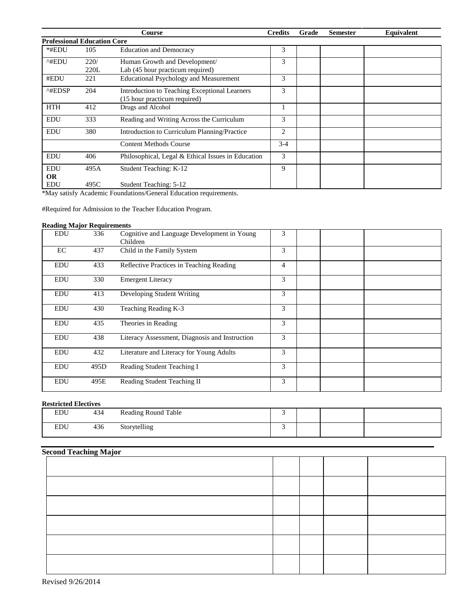|                                    |              | Course                                                                        | <b>Credits</b> | Grade | <b>Semester</b> | Equivalent |
|------------------------------------|--------------|-------------------------------------------------------------------------------|----------------|-------|-----------------|------------|
| <b>Professional Education Core</b> |              |                                                                               |                |       |                 |            |
| *#EDU                              | 105          | <b>Education and Democracy</b>                                                | 3              |       |                 |            |
| ^#EDU                              | 220/<br>220L | Human Growth and Development/<br>Lab (45 hour practicum required)             | 3              |       |                 |            |
| #EDU                               | 221          | <b>Educational Psychology and Measurement</b>                                 | 3              |       |                 |            |
| $^{\wedge\text{HEDSP}}$            | 204          | Introduction to Teaching Exceptional Learners<br>(15 hour practicum required) | 3              |       |                 |            |
| <b>HTH</b>                         | 412          | Drugs and Alcohol                                                             |                |       |                 |            |
| <b>EDU</b>                         | 333          | Reading and Writing Across the Curriculum                                     | 3              |       |                 |            |
| <b>EDU</b>                         | 380          | Introduction to Curriculum Planning/Practice                                  | 2              |       |                 |            |
|                                    |              | <b>Content Methods Course</b>                                                 | $3-4$          |       |                 |            |
| <b>EDU</b>                         | 406          | Philosophical, Legal & Ethical Issues in Education                            | 3              |       |                 |            |
| <b>EDU</b>                         | 495A         | Student Teaching: K-12                                                        | 9              |       |                 |            |
| <b>OR</b><br><b>EDU</b>            | 495C         | Student Teaching: 5-12                                                        |                |       |                 |            |

\*May satisfy Academic Foundations/General Education requirements.

#Required for Admission to the Teacher Education Program.

#### **Reading Major Requirements**

| <b>EDU</b> | 336  | Cognitive and Language Development in Young<br>Children | 3 |  |
|------------|------|---------------------------------------------------------|---|--|
| EC         | 437  | Child in the Family System                              | 3 |  |
| <b>EDU</b> | 433  | Reflective Practices in Teaching Reading                | 4 |  |
| <b>EDU</b> | 330  | <b>Emergent Literacy</b>                                | 3 |  |
| <b>EDU</b> | 413  | Developing Student Writing                              | 3 |  |
| <b>EDU</b> | 430  | Teaching Reading K-3                                    | 3 |  |
| EDU        | 435  | Theories in Reading                                     | 3 |  |
| EDU        | 438  | Literacy Assessment, Diagnosis and Instruction          | 3 |  |
| <b>EDU</b> | 432  | Literature and Literacy for Young Adults                | 3 |  |
| EDU        | 495D | Reading Student Teaching I                              | 3 |  |
| EDU        | 495E | Reading Student Teaching II                             | 3 |  |

## **Restricted Electives**

| <b>EDU</b> | 434 | <b>Reading Round Table</b> |  |  |
|------------|-----|----------------------------|--|--|
| <b>EDU</b> | 436 | Storytelling<br>ີ          |  |  |

# **Second Teaching Major**